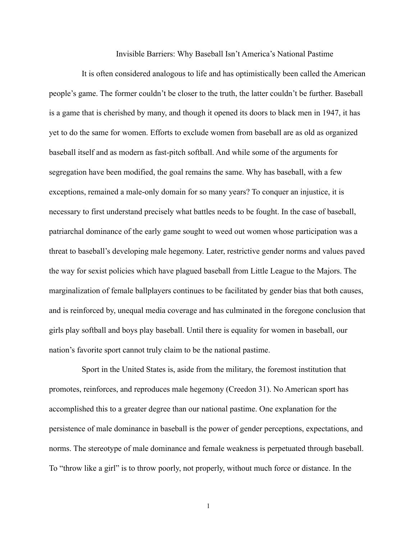Invisible Barriers: Why Baseball Isn't America's National Pastime

It is often considered analogous to life and has optimistically been called the American people's game. The former couldn't be closer to the truth, the latter couldn't be further. Baseball is a game that is cherished by many, and though it opened its doors to black men in 1947, it has yet to do the same for women. Efforts to exclude women from baseball are as old as organized baseball itself and as modern as fast-pitch softball. And while some of the arguments for segregation have been modified, the goal remains the same. Why has baseball, with a few exceptions, remained a male-only domain for so many years? To conquer an injustice, it is necessary to first understand precisely what battles needs to be fought. In the case of baseball, patriarchal dominance of the early game sought to weed out women whose participation was a threat to baseball's developing male hegemony. Later, restrictive gender norms and values paved the way for sexist policies which have plagued baseball from Little League to the Majors. The marginalization of female ballplayers continues to be facilitated by gender bias that both causes, and is reinforced by, unequal media coverage and has culminated in the foregone conclusion that girls play softball and boys play baseball. Until there is equality for women in baseball, our nation's favorite sport cannot truly claim to be the national pastime.

Sport in the United States is, aside from the military, the foremost institution that promotes, reinforces, and reproduces male hegemony (Creedon 31). No American sport has accomplished this to a greater degree than our national pastime. One explanation for the persistence of male dominance in baseball is the power of gender perceptions, expectations, and norms. The stereotype of male dominance and female weakness is perpetuated through baseball. To "throw like a girl" is to throw poorly, not properly, without much force or distance. In the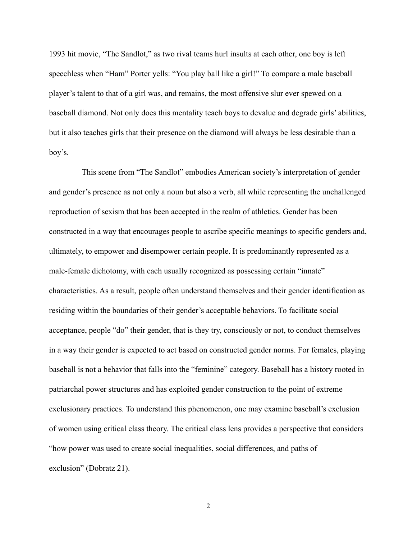1993 hit movie, "The Sandlot," as two rival teams hurl insults at each other, one boy is left speechless when "Ham" Porter yells: "You play ball like a girl!" To compare a male baseball player's talent to that of a girl was, and remains, the most offensive slur ever spewed on a baseball diamond. Not only does this mentality teach boys to devalue and degrade girls' abilities, but it also teaches girls that their presence on the diamond will always be less desirable than a boy's.

This scene from "The Sandlot" embodies American society's interpretation of gender and gender's presence as not only a noun but also a verb, all while representing the unchallenged reproduction of sexism that has been accepted in the realm of athletics. Gender has been constructed in a way that encourages people to ascribe specific meanings to specific genders and, ultimately, to empower and disempower certain people. It is predominantly represented as a male-female dichotomy, with each usually recognized as possessing certain "innate" characteristics. As a result, people often understand themselves and their gender identification as residing within the boundaries of their gender's acceptable behaviors. To facilitate social acceptance, people "do" their gender, that is they try, consciously or not, to conduct themselves in a way their gender is expected to act based on constructed gender norms. For females, playing baseball is not a behavior that falls into the "feminine" category. Baseball has a history rooted in patriarchal power structures and has exploited gender construction to the point of extreme exclusionary practices. To understand this phenomenon, one may examine baseball's exclusion of women using critical class theory. The critical class lens provides a perspective that considers "how power was used to create social inequalities, social differences, and paths of exclusion" (Dobratz 21).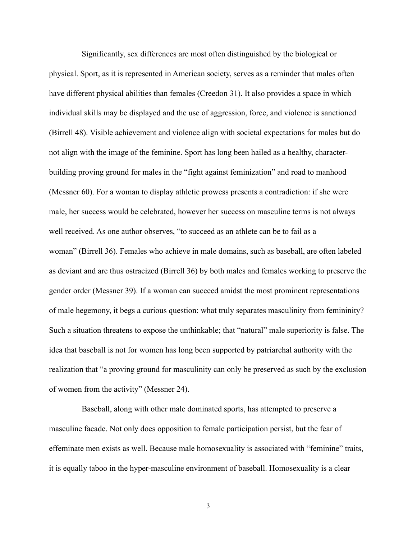Significantly, sex differences are most often distinguished by the biological or physical. Sport, as it is represented in American society, serves as a reminder that males often have different physical abilities than females (Creedon 31). It also provides a space in which individual skills may be displayed and the use of aggression, force, and violence is sanctioned (Birrell 48). Visible achievement and violence align with societal expectations for males but do not align with the image of the feminine. Sport has long been hailed as a healthy, characterbuilding proving ground for males in the "fight against feminization" and road to manhood (Messner 60). For a woman to display athletic prowess presents a contradiction: if she were male, her success would be celebrated, however her success on masculine terms is not always well received. As one author observes, "to succeed as an athlete can be to fail as a woman" (Birrell 36). Females who achieve in male domains, such as baseball, are often labeled as deviant and are thus ostracized (Birrell 36) by both males and females working to preserve the gender order (Messner 39). If a woman can succeed amidst the most prominent representations of male hegemony, it begs a curious question: what truly separates masculinity from femininity? Such a situation threatens to expose the unthinkable; that "natural" male superiority is false. The idea that baseball is not for women has long been supported by patriarchal authority with the realization that "a proving ground for masculinity can only be preserved as such by the exclusion of women from the activity" (Messner 24).

Baseball, along with other male dominated sports, has attempted to preserve a masculine facade. Not only does opposition to female participation persist, but the fear of effeminate men exists as well. Because male homosexuality is associated with "feminine" traits, it is equally taboo in the hyper-masculine environment of baseball. Homosexuality is a clear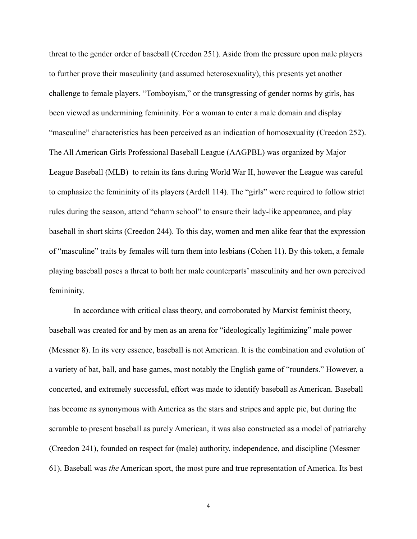threat to the gender order of baseball (Creedon 251). Aside from the pressure upon male players to further prove their masculinity (and assumed heterosexuality), this presents yet another challenge to female players. "Tomboyism," or the transgressing of gender norms by girls, has been viewed as undermining femininity. For a woman to enter a male domain and display "masculine" characteristics has been perceived as an indication of homosexuality (Creedon 252). The All American Girls Professional Baseball League (AAGPBL) was organized by Major League Baseball (MLB) to retain its fans during World War II, however the League was careful to emphasize the femininity of its players (Ardell 114). The "girls" were required to follow strict rules during the season, attend "charm school" to ensure their lady-like appearance, and play baseball in short skirts (Creedon 244). To this day, women and men alike fear that the expression of "masculine" traits by females will turn them into lesbians (Cohen 11). By this token, a female playing baseball poses a threat to both her male counterparts' masculinity and her own perceived femininity.

 In accordance with critical class theory, and corroborated by Marxist feminist theory, baseball was created for and by men as an arena for "ideologically legitimizing" male power (Messner 8). In its very essence, baseball is not American. It is the combination and evolution of a variety of bat, ball, and base games, most notably the English game of "rounders." However, a concerted, and extremely successful, effort was made to identify baseball as American. Baseball has become as synonymous with America as the stars and stripes and apple pie, but during the scramble to present baseball as purely American, it was also constructed as a model of patriarchy (Creedon 241), founded on respect for (male) authority, independence, and discipline (Messner 61). Baseball was *the* American sport, the most pure and true representation of America. Its best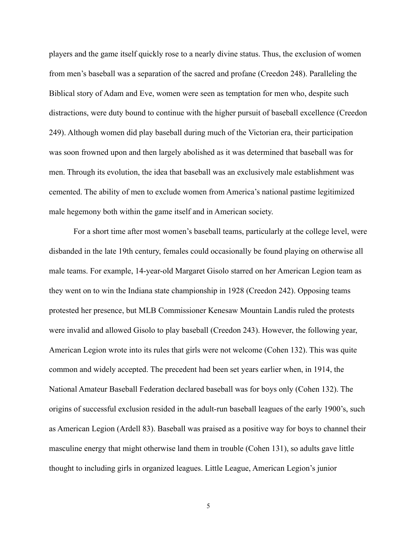players and the game itself quickly rose to a nearly divine status. Thus, the exclusion of women from men's baseball was a separation of the sacred and profane (Creedon 248). Paralleling the Biblical story of Adam and Eve, women were seen as temptation for men who, despite such distractions, were duty bound to continue with the higher pursuit of baseball excellence (Creedon 249). Although women did play baseball during much of the Victorian era, their participation was soon frowned upon and then largely abolished as it was determined that baseball was for men. Through its evolution, the idea that baseball was an exclusively male establishment was cemented. The ability of men to exclude women from America's national pastime legitimized male hegemony both within the game itself and in American society.

 For a short time after most women's baseball teams, particularly at the college level, were disbanded in the late 19th century, females could occasionally be found playing on otherwise all male teams. For example, 14-year-old Margaret Gisolo starred on her American Legion team as they went on to win the Indiana state championship in 1928 (Creedon 242). Opposing teams protested her presence, but MLB Commissioner Kenesaw Mountain Landis ruled the protests were invalid and allowed Gisolo to play baseball (Creedon 243). However, the following year, American Legion wrote into its rules that girls were not welcome (Cohen 132). This was quite common and widely accepted. The precedent had been set years earlier when, in 1914, the National Amateur Baseball Federation declared baseball was for boys only (Cohen 132). The origins of successful exclusion resided in the adult-run baseball leagues of the early 1900's, such as American Legion (Ardell 83). Baseball was praised as a positive way for boys to channel their masculine energy that might otherwise land them in trouble (Cohen 131), so adults gave little thought to including girls in organized leagues. Little League, American Legion's junior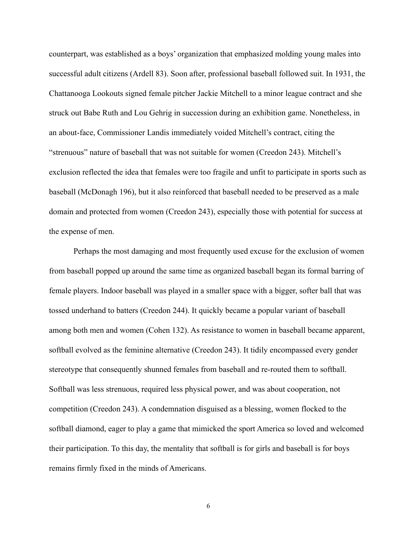counterpart, was established as a boys' organization that emphasized molding young males into successful adult citizens (Ardell 83). Soon after, professional baseball followed suit. In 1931, the Chattanooga Lookouts signed female pitcher Jackie Mitchell to a minor league contract and she struck out Babe Ruth and Lou Gehrig in succession during an exhibition game. Nonetheless, in an about-face, Commissioner Landis immediately voided Mitchell's contract, citing the "strenuous" nature of baseball that was not suitable for women (Creedon 243). Mitchell's exclusion reflected the idea that females were too fragile and unfit to participate in sports such as baseball (McDonagh 196), but it also reinforced that baseball needed to be preserved as a male domain and protected from women (Creedon 243), especially those with potential for success at the expense of men.

 Perhaps the most damaging and most frequently used excuse for the exclusion of women from baseball popped up around the same time as organized baseball began its formal barring of female players. Indoor baseball was played in a smaller space with a bigger, softer ball that was tossed underhand to batters (Creedon 244). It quickly became a popular variant of baseball among both men and women (Cohen 132). As resistance to women in baseball became apparent, softball evolved as the feminine alternative (Creedon 243). It tidily encompassed every gender stereotype that consequently shunned females from baseball and re-routed them to softball. Softball was less strenuous, required less physical power, and was about cooperation, not competition (Creedon 243). A condemnation disguised as a blessing, women flocked to the softball diamond, eager to play a game that mimicked the sport America so loved and welcomed their participation. To this day, the mentality that softball is for girls and baseball is for boys remains firmly fixed in the minds of Americans.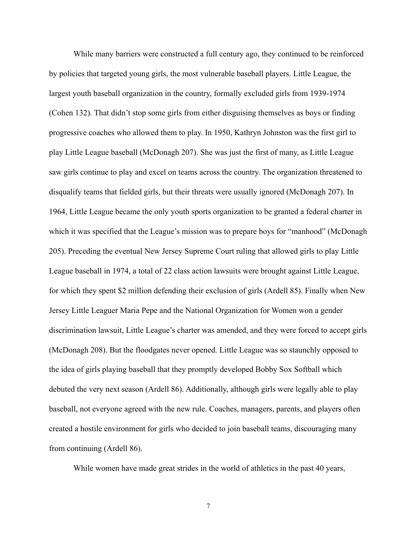While many barriers were constructed a full century ago, they continued to be reinforced by policies that targeted young girls, the most vulnerable baseball players. Little League, the largest youth baseball organization in the country, formally excluded girls from 1939-1974 (Cohen 132). That didn't stop some girls from either disguising themselves as boys or finding progressive coaches who allowed them to play. In 1950, Kathryn Johnston was the first girl to play Little League baseball (McDonagh 207). She was just the first of many, as Little League saw girls continue to play and excel on teams across the country. The organization threatened to disqualify teams that fielded girls, but their threats were usually ignored (McDonagh 207). In 1964, Little League became the only youth sports organization to be granted a federal charter in which it was specified that the League's mission was to prepare boys for "manhood" (McDonagh 205). Preceding the eventual New Jersey Supreme Court ruling that allowed girls to play Little League baseball in 1974, a total of 22 class action lawsuits were brought against Little League, for which they spent \$2 million defending their exclusion of girls (Ardell 85). Finally when New Jersey Little Leaguer Maria Pepe and the National Organization for Women won a gender discrimination lawsuit, Little League's charter was amended, and they were forced to accept girls (McDonagh 208). But the floodgates never opened. Little League was so staunchly opposed to the idea of girls playing baseball that they promptly developed Bobby Sox Softball which debuted the very next season (Ardell 86). Additionally, although girls were legally able to play baseball, not everyone agreed with the new rule. Coaches, managers, parents, and players often created a hostile environment for girls who decided to join baseball teams, discouraging many from continuing (Ardell 86).

While women have made great strides in the world of athletics in the past 40 years,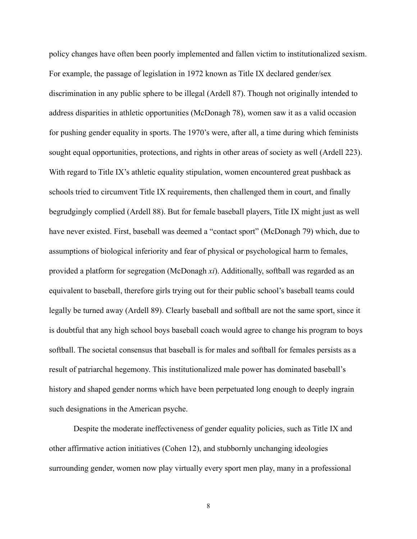policy changes have often been poorly implemented and fallen victim to institutionalized sexism. For example, the passage of legislation in 1972 known as Title IX declared gender/sex discrimination in any public sphere to be illegal (Ardell 87). Though not originally intended to address disparities in athletic opportunities (McDonagh 78), women saw it as a valid occasion for pushing gender equality in sports. The 1970's were, after all, a time during which feminists sought equal opportunities, protections, and rights in other areas of society as well (Ardell 223). With regard to Title IX's athletic equality stipulation, women encountered great pushback as schools tried to circumvent Title IX requirements, then challenged them in court, and finally begrudgingly complied (Ardell 88). But for female baseball players, Title IX might just as well have never existed. First, baseball was deemed a "contact sport" (McDonagh 79) which, due to assumptions of biological inferiority and fear of physical or psychological harm to females, provided a platform for segregation (McDonagh *xi*). Additionally, softball was regarded as an equivalent to baseball, therefore girls trying out for their public school's baseball teams could legally be turned away (Ardell 89). Clearly baseball and softball are not the same sport, since it is doubtful that any high school boys baseball coach would agree to change his program to boys softball. The societal consensus that baseball is for males and softball for females persists as a result of patriarchal hegemony. This institutionalized male power has dominated baseball's history and shaped gender norms which have been perpetuated long enough to deeply ingrain such designations in the American psyche.

 Despite the moderate ineffectiveness of gender equality policies, such as Title IX and other affirmative action initiatives (Cohen 12), and stubbornly unchanging ideologies surrounding gender, women now play virtually every sport men play, many in a professional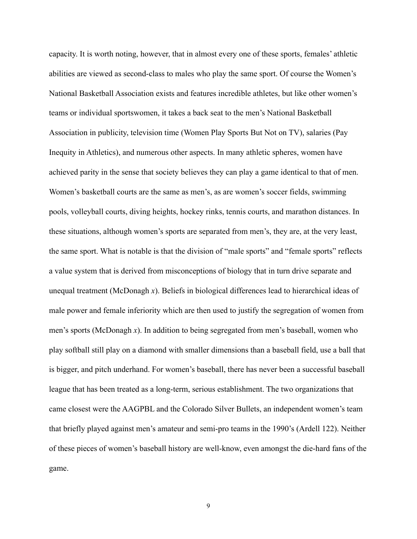capacity. It is worth noting, however, that in almost every one of these sports, females' athletic abilities are viewed as second-class to males who play the same sport. Of course the Women's National Basketball Association exists and features incredible athletes, but like other women's teams or individual sportswomen, it takes a back seat to the men's National Basketball Association in publicity, television time (Women Play Sports But Not on TV), salaries (Pay Inequity in Athletics), and numerous other aspects. In many athletic spheres, women have achieved parity in the sense that society believes they can play a game identical to that of men. Women's basketball courts are the same as men's, as are women's soccer fields, swimming pools, volleyball courts, diving heights, hockey rinks, tennis courts, and marathon distances. In these situations, although women's sports are separated from men's, they are, at the very least, the same sport. What is notable is that the division of "male sports" and "female sports" reflects a value system that is derived from misconceptions of biology that in turn drive separate and unequal treatment (McDonagh *x*). Beliefs in biological differences lead to hierarchical ideas of male power and female inferiority which are then used to justify the segregation of women from men's sports (McDonagh *x*). In addition to being segregated from men's baseball, women who play softball still play on a diamond with smaller dimensions than a baseball field, use a ball that is bigger, and pitch underhand. For women's baseball, there has never been a successful baseball league that has been treated as a long-term, serious establishment. The two organizations that came closest were the AAGPBL and the Colorado Silver Bullets, an independent women's team that briefly played against men's amateur and semi-pro teams in the 1990's (Ardell 122). Neither of these pieces of women's baseball history are well-know, even amongst the die-hard fans of the game.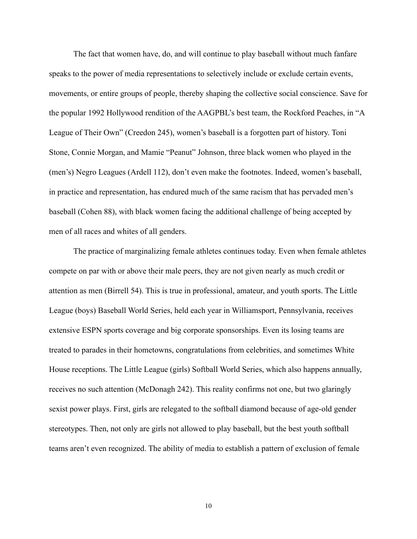The fact that women have, do, and will continue to play baseball without much fanfare speaks to the power of media representations to selectively include or exclude certain events, movements, or entire groups of people, thereby shaping the collective social conscience. Save for the popular 1992 Hollywood rendition of the AAGPBL's best team, the Rockford Peaches, in "A League of Their Own" (Creedon 245), women's baseball is a forgotten part of history. Toni Stone, Connie Morgan, and Mamie "Peanut" Johnson, three black women who played in the (men's) Negro Leagues (Ardell 112), don't even make the footnotes. Indeed, women's baseball, in practice and representation, has endured much of the same racism that has pervaded men's baseball (Cohen 88), with black women facing the additional challenge of being accepted by men of all races and whites of all genders.

 The practice of marginalizing female athletes continues today. Even when female athletes compete on par with or above their male peers, they are not given nearly as much credit or attention as men (Birrell 54). This is true in professional, amateur, and youth sports. The Little League (boys) Baseball World Series, held each year in Williamsport, Pennsylvania, receives extensive ESPN sports coverage and big corporate sponsorships. Even its losing teams are treated to parades in their hometowns, congratulations from celebrities, and sometimes White House receptions. The Little League (girls) Softball World Series, which also happens annually, receives no such attention (McDonagh 242). This reality confirms not one, but two glaringly sexist power plays. First, girls are relegated to the softball diamond because of age-old gender stereotypes. Then, not only are girls not allowed to play baseball, but the best youth softball teams aren't even recognized. The ability of media to establish a pattern of exclusion of female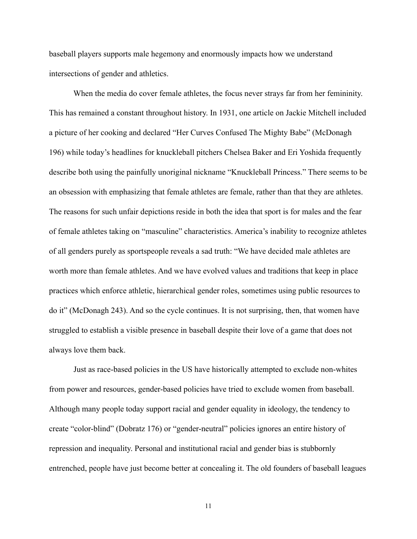baseball players supports male hegemony and enormously impacts how we understand intersections of gender and athletics.

 When the media do cover female athletes, the focus never strays far from her femininity. This has remained a constant throughout history. In 1931, one article on Jackie Mitchell included a picture of her cooking and declared "Her Curves Confused The Mighty Babe" (McDonagh 196) while today's headlines for knuckleball pitchers Chelsea Baker and Eri Yoshida frequently describe both using the painfully unoriginal nickname "Knuckleball Princess." There seems to be an obsession with emphasizing that female athletes are female, rather than that they are athletes. The reasons for such unfair depictions reside in both the idea that sport is for males and the fear of female athletes taking on "masculine" characteristics. America's inability to recognize athletes of all genders purely as sportspeople reveals a sad truth: "We have decided male athletes are worth more than female athletes. And we have evolved values and traditions that keep in place practices which enforce athletic, hierarchical gender roles, sometimes using public resources to do it" (McDonagh 243). And so the cycle continues. It is not surprising, then, that women have struggled to establish a visible presence in baseball despite their love of a game that does not always love them back.

 Just as race-based policies in the US have historically attempted to exclude non-whites from power and resources, gender-based policies have tried to exclude women from baseball. Although many people today support racial and gender equality in ideology, the tendency to create "color-blind" (Dobratz 176) or "gender-neutral" policies ignores an entire history of repression and inequality. Personal and institutional racial and gender bias is stubbornly entrenched, people have just become better at concealing it. The old founders of baseball leagues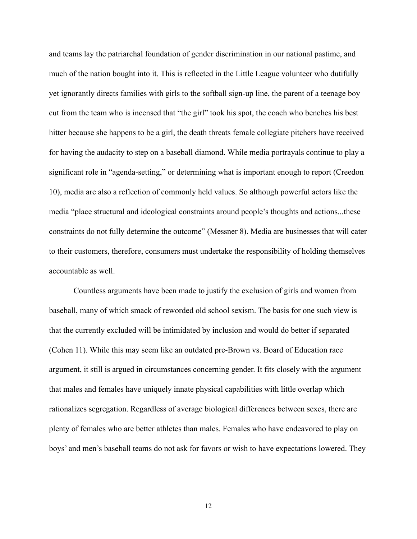and teams lay the patriarchal foundation of gender discrimination in our national pastime, and much of the nation bought into it. This is reflected in the Little League volunteer who dutifully yet ignorantly directs families with girls to the softball sign-up line, the parent of a teenage boy cut from the team who is incensed that "the girl" took his spot, the coach who benches his best hitter because she happens to be a girl, the death threats female collegiate pitchers have received for having the audacity to step on a baseball diamond. While media portrayals continue to play a significant role in "agenda-setting," or determining what is important enough to report (Creedon 10), media are also a reflection of commonly held values. So although powerful actors like the media "place structural and ideological constraints around people's thoughts and actions...these constraints do not fully determine the outcome" (Messner 8). Media are businesses that will cater to their customers, therefore, consumers must undertake the responsibility of holding themselves accountable as well.

 Countless arguments have been made to justify the exclusion of girls and women from baseball, many of which smack of reworded old school sexism. The basis for one such view is that the currently excluded will be intimidated by inclusion and would do better if separated (Cohen 11). While this may seem like an outdated pre-Brown vs. Board of Education race argument, it still is argued in circumstances concerning gender. It fits closely with the argument that males and females have uniquely innate physical capabilities with little overlap which rationalizes segregation. Regardless of average biological differences between sexes, there are plenty of females who are better athletes than males. Females who have endeavored to play on boys' and men's baseball teams do not ask for favors or wish to have expectations lowered. They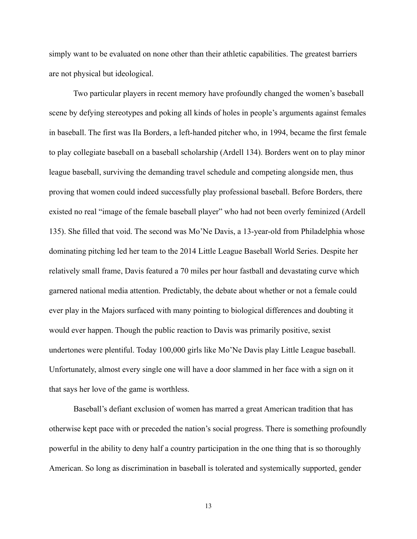simply want to be evaluated on none other than their athletic capabilities. The greatest barriers are not physical but ideological.

 Two particular players in recent memory have profoundly changed the women's baseball scene by defying stereotypes and poking all kinds of holes in people's arguments against females in baseball. The first was Ila Borders, a left-handed pitcher who, in 1994, became the first female to play collegiate baseball on a baseball scholarship (Ardell 134). Borders went on to play minor league baseball, surviving the demanding travel schedule and competing alongside men, thus proving that women could indeed successfully play professional baseball. Before Borders, there existed no real "image of the female baseball player" who had not been overly feminized (Ardell 135). She filled that void. The second was Mo'Ne Davis, a 13-year-old from Philadelphia whose dominating pitching led her team to the 2014 Little League Baseball World Series. Despite her relatively small frame, Davis featured a 70 miles per hour fastball and devastating curve which garnered national media attention. Predictably, the debate about whether or not a female could ever play in the Majors surfaced with many pointing to biological differences and doubting it would ever happen. Though the public reaction to Davis was primarily positive, sexist undertones were plentiful. Today 100,000 girls like Mo'Ne Davis play Little League baseball. Unfortunately, almost every single one will have a door slammed in her face with a sign on it that says her love of the game is worthless.

 Baseball's defiant exclusion of women has marred a great American tradition that has otherwise kept pace with or preceded the nation's social progress. There is something profoundly powerful in the ability to deny half a country participation in the one thing that is so thoroughly American. So long as discrimination in baseball is tolerated and systemically supported, gender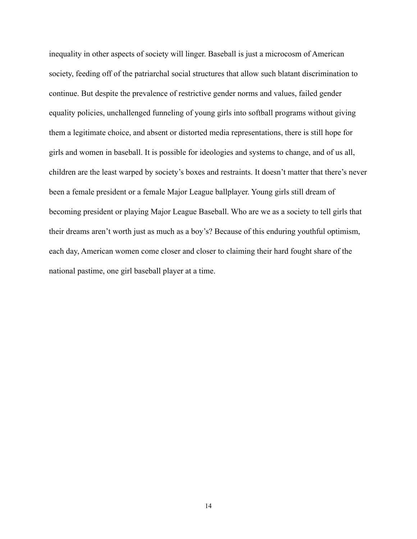inequality in other aspects of society will linger. Baseball is just a microcosm of American society, feeding off of the patriarchal social structures that allow such blatant discrimination to continue. But despite the prevalence of restrictive gender norms and values, failed gender equality policies, unchallenged funneling of young girls into softball programs without giving them a legitimate choice, and absent or distorted media representations, there is still hope for girls and women in baseball. It is possible for ideologies and systems to change, and of us all, children are the least warped by society's boxes and restraints. It doesn't matter that there's never been a female president or a female Major League ballplayer. Young girls still dream of becoming president or playing Major League Baseball. Who are we as a society to tell girls that their dreams aren't worth just as much as a boy's? Because of this enduring youthful optimism, each day, American women come closer and closer to claiming their hard fought share of the national pastime, one girl baseball player at a time.